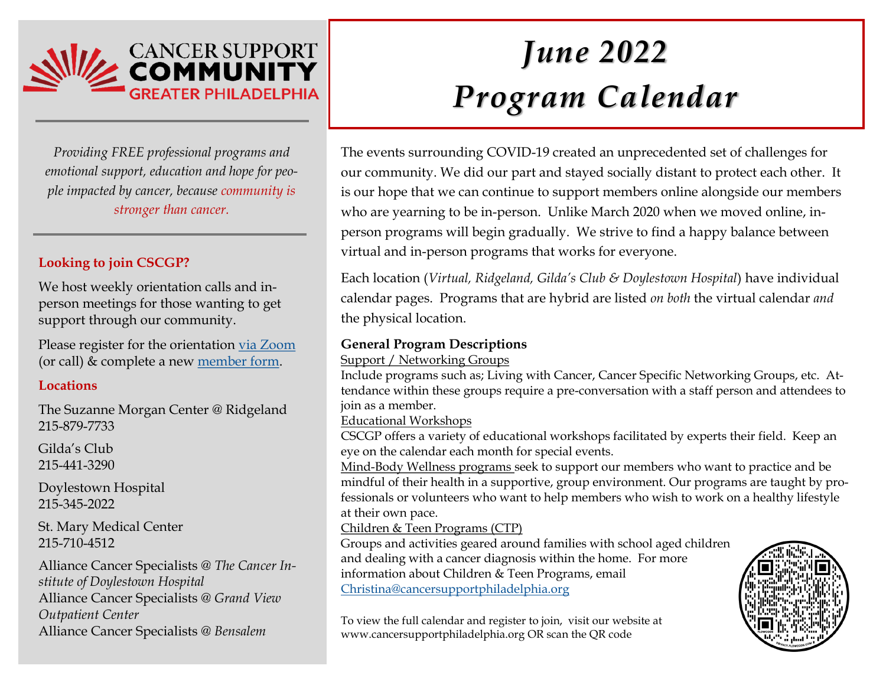

*Providing FREE professional programs and emotional support, education and hope for people impacted by cancer, because community is stronger than cancer.*

# **Looking to join CSCGP?**

We host weekly orientation calls and inperson meetings for those wanting to get support through our community.

Please register for the orientation [via Zoom](https://zoom.us/meeting/register/uJYlc-qvrDsjuyx-yiUXuVOSbAk2rqitZg) (or call) & complete a new [member form.](https://docs.google.com/forms/d/e/1FAIpQLSfhOOrOq_y-u53FH2u9sxhFSksUf3dIejHTes4wpt1uxHGGVQ/viewform) 

## **Locations**

The Suzanne Morgan Center @ Ridgeland 215-879-7733

Gilda's Club 215-441-3290

Doylestown Hospital 215-345-2022

St. Mary Medical Center 215-710-4512

Alliance Cancer Specialists *@ The Cancer Institute of Doylestown Hospital* Alliance Cancer Specialists *@ Grand View Outpatient Center* Alliance Cancer Specialists *@ Bensalem*

# *June 2022 Program Calendar*

The events surrounding COVID-19 created an unprecedented set of challenges for our community. We did our part and stayed socially distant to protect each other. It is our hope that we can continue to support members online alongside our members who are yearning to be in-person. Unlike March 2020 when we moved online, inperson programs will begin gradually. We strive to find a happy balance between virtual and in-person programs that works for everyone.

Each location (*Virtual, Ridgeland, Gilda's Club & Doylestown Hospital*) have individual calendar pages. Programs that are hybrid are listed *on both* the virtual calendar *and* the physical location.

# **General Program Descriptions**

#### Support / Networking Groups

Include programs such as; Living with Cancer, Cancer Specific Networking Groups, etc. Attendance within these groups require a pre-conversation with a staff person and attendees to join as a member.

Educational Workshops

CSCGP offers a variety of educational workshops facilitated by experts their field. Keep an eye on the calendar each month for special events.

Mind-Body Wellness programs seek to support our members who want to practice and be mindful of their health in a supportive, group environment. Our programs are taught by professionals or volunteers who want to help members who wish to work on a healthy lifestyle at their own pace.

## Children & Teen Programs (CTP)

Groups and activities geared around families with school aged children and dealing with a cancer diagnosis within the home. For more information about Children & Teen Programs, email [Christina@cancersupportphiladelphia.org](mailto:Christina@cancersupportphiladelphia.org)

To view the full calendar and register to join, visit our website at www.cancersupportphiladelphia.org OR scan the QR code

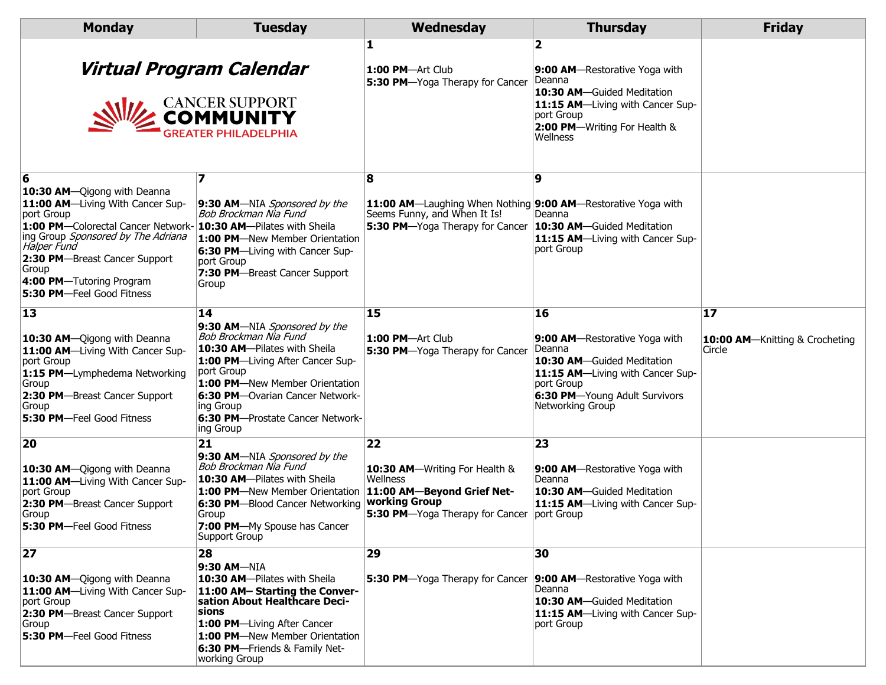| <b>Monday</b>                                                                                                                                                                                                                                                                    | <b>Tuesday</b>                                                                                                                                                                                                                                                                   | Wednesday                                                                                                                            | <b>Thursday</b>                                                                                                                                                                           | <b>Friday</b>                                  |
|----------------------------------------------------------------------------------------------------------------------------------------------------------------------------------------------------------------------------------------------------------------------------------|----------------------------------------------------------------------------------------------------------------------------------------------------------------------------------------------------------------------------------------------------------------------------------|--------------------------------------------------------------------------------------------------------------------------------------|-------------------------------------------------------------------------------------------------------------------------------------------------------------------------------------------|------------------------------------------------|
|                                                                                                                                                                                                                                                                                  | Virtual Program Calendar<br><b>CANCER SUPPORT</b><br><b>COMMUNITY</b><br><b>GREATER PHILADELPHIA</b>                                                                                                                                                                             | 1<br>1:00 PM-Art Club<br>5:30 PM-Yoga Therapy for Cancer                                                                             | 2<br><b>9:00 AM</b> —Restorative Yoga with<br>Deanna<br>10:30 AM-Guided Meditation<br>11:15 AM-Living with Cancer Sup-<br>port Group<br>2:00 PM-Writing For Health &<br>Wellness          |                                                |
| 6<br>10:30 AM-Qigong with Deanna<br>11:00 AM-Living With Cancer Sup-<br>port Group<br>1:00 PM-Colorectal Cancer Network-<br>ing Group Sponsored by The Adriana<br>Halper Fund<br>2:30 PM-Breast Cancer Support<br>Group<br>4:00 PM-Tutoring Program<br>5:30 PM-Feel Good Fitness | 9:30 AM-NIA Sponsored by the<br>Bob Brockman Nia Fund<br>10:30 AM-Pilates with Sheila<br>1:00 PM-New Member Orientation<br>6:30 PM-Living with Cancer Sup-<br>port Group<br>7:30 PM-Breast Cancer Support<br>Group                                                               | 8<br>11:00 AM-Laughing When Nothing 9:00 AM-Restorative Yoga with<br>Seems Funny, and When It Is!<br>5:30 PM-Yoga Therapy for Cancer | 9<br>Deanna<br>10:30 AM-Guided Meditation<br>11:15 AM-Living with Cancer Sup-<br>port Group                                                                                               |                                                |
| 13<br>10:30 AM-Qigong with Deanna<br>11:00 AM-Living With Cancer Sup-<br>port Group<br>1:15 PM-Lymphedema Networking<br>Group<br>2:30 PM-Breast Cancer Support<br>Group<br>5:30 PM-Feel Good Fitness                                                                             | 14<br>9:30 AM-NIA Sponsored by the<br>Bob Brockman Nia Fund<br>10:30 AM-Pilates with Sheila<br>1:00 PM-Living After Cancer Sup-<br>port Group<br>1:00 PM-New Member Orientation<br>6:30 PM-Ovarian Cancer Network-<br>ing Group<br>6:30 PM-Prostate Cancer Network-<br>ing Group | 15<br>1:00 PM-Art Club<br>5:30 PM-Yoga Therapy for Cancer                                                                            | <b>16</b><br>9:00 AM-Restorative Yoga with<br>Deanna<br>10:30 AM-Guided Meditation<br>11:15 AM-Living with Cancer Sup-<br>port Group<br>6:30 PM-Young Adult Survivors<br>Networking Group | 17<br>10:00 AM-Knitting & Crocheting<br>Circle |
| 20<br>10:30 AM-Qigong with Deanna<br>11:00 AM-Living With Cancer Sup-<br>port Group<br>2:30 PM-Breast Cancer Support<br>Group<br>5:30 PM-Feel Good Fitness                                                                                                                       | 21<br>9:30 AM-NIA Sponsored by the<br>Bob Brockman Nia Fund<br>10:30 AM-Pilates with Sheila<br>1:00 PM-New Member Orientation<br>6:30 PM-Blood Cancer Networking<br>Group<br>7:00 PM-My Spouse has Cancer<br>Support Group                                                       | 22<br>10:30 AM-Writing For Health &<br>Wellness<br>11:00 AM-Beyond Grief Net-<br>working Group<br>5:30 PM-Yoga Therapy for Cancer    | 23<br>9:00 AM-Restorative Yoga with<br>Deanna<br>10:30 AM-Guided Meditation<br>11:15 AM-Living with Cancer Sup-<br>port Group                                                             |                                                |
| 27<br>10:30 AM-Qigong with Deanna<br>11:00 AM-Living With Cancer Sup-<br>port Group<br>2:30 PM-Breast Cancer Support<br>Group<br>5:30 PM-Feel Good Fitness                                                                                                                       | 28<br>9:30 AM-NIA<br>10:30 AM-Pilates with Sheila<br>11:00 AM- Starting the Conver-<br>sation About Healthcare Deci-<br>sions<br>1:00 PM-Living After Cancer<br>1:00 PM-New Member Orientation<br>6:30 PM-Friends & Family Net-<br>working Group                                 | 29<br>5:30 PM-Yoga Therapy for Cancer                                                                                                | 30<br>9:00 AM-Restorative Yoga with<br>Deanna<br>10:30 AM-Guided Meditation<br>11:15 AM-Living with Cancer Sup-<br>port Group                                                             |                                                |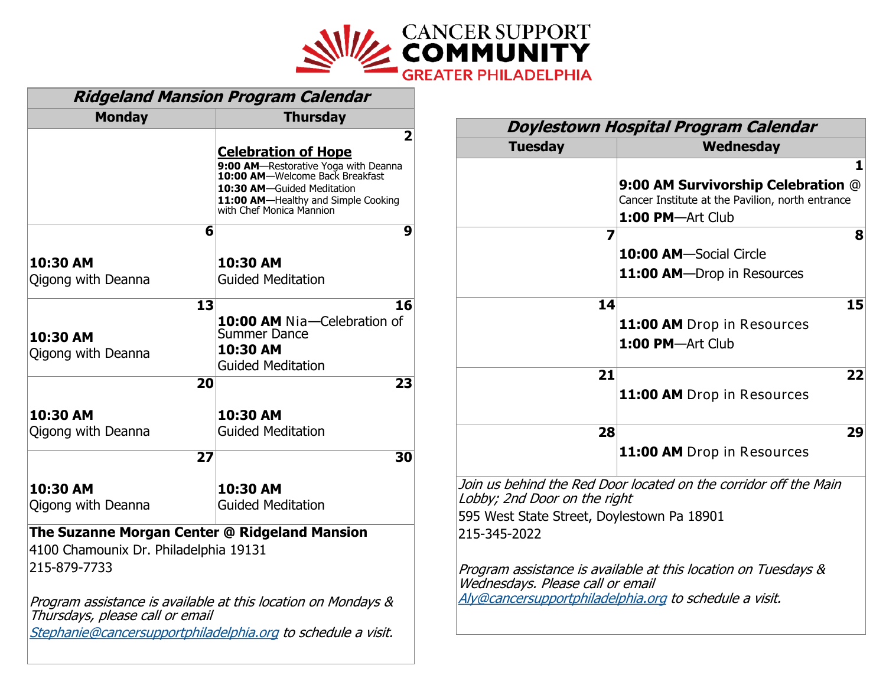

| <b>Ridgeland Mansion Program Calendar</b>                                                                                                                        |                                                                                                                                                                                                             |  |  |  |  |
|------------------------------------------------------------------------------------------------------------------------------------------------------------------|-------------------------------------------------------------------------------------------------------------------------------------------------------------------------------------------------------------|--|--|--|--|
| <b>Monday</b>                                                                                                                                                    | <b>Thursday</b>                                                                                                                                                                                             |  |  |  |  |
|                                                                                                                                                                  | 2<br><b>Celebration of Hope</b><br>9:00 AM-Restorative Yoga with Deanna<br>10:00 AM-Welcome Back Breakfast<br>10:30 AM-Guided Meditation<br>11:00 AM-Healthy and Simple Cooking<br>with Chef Monica Mannion |  |  |  |  |
| 6                                                                                                                                                                | 9                                                                                                                                                                                                           |  |  |  |  |
| 10:30 AM<br>Qigong with Deanna                                                                                                                                   | 10:30 AM<br><b>Guided Meditation</b>                                                                                                                                                                        |  |  |  |  |
| 13<br>10:30 AM<br>Qigong with Deanna                                                                                                                             | 16<br>10:00 AM Nia-Celebration of<br><b>Summer Dance</b><br>10:30 AM<br><b>Guided Meditation</b>                                                                                                            |  |  |  |  |
| 20                                                                                                                                                               | 23                                                                                                                                                                                                          |  |  |  |  |
| 10:30 AM<br>Qigong with Deanna                                                                                                                                   | 10:30 AM<br><b>Guided Meditation</b>                                                                                                                                                                        |  |  |  |  |
| 27                                                                                                                                                               | 30                                                                                                                                                                                                          |  |  |  |  |
| 10:30 AM<br>Qigong with Deanna                                                                                                                                   | 10:30 AM<br><b>Guided Meditation</b>                                                                                                                                                                        |  |  |  |  |
| The Suzanne Morgan Center @ Ridgeland Mansion<br>4100 Chamounix Dr. Philadelphia 19131<br>215-879-7733                                                           |                                                                                                                                                                                                             |  |  |  |  |
| Program assistance is available at this location on Mondays &<br>Thursdays, please call or email<br>Stephanie@cancersupportphiladelphia.org to schedule a visit. |                                                                                                                                                                                                             |  |  |  |  |